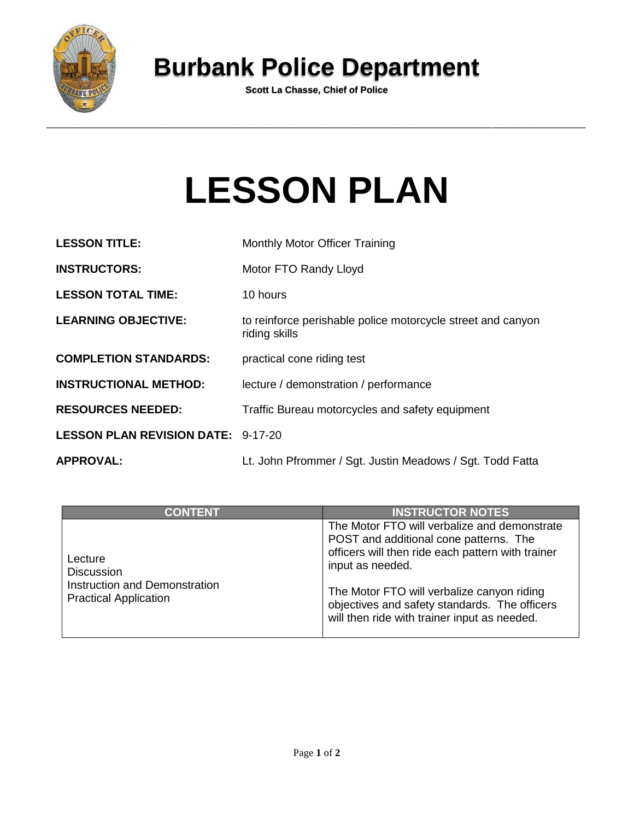

## **Burbank Police Department**

**Scott La Chasse, Chief of Police**

## **LESSON PLAN**

| <b>LESSON TITLE:</b>                      | Monthly Motor Officer Training                                               |  |
|-------------------------------------------|------------------------------------------------------------------------------|--|
| <b>INSTRUCTORS:</b>                       | Motor FTO Randy Lloyd                                                        |  |
| <b>LESSON TOTAL TIME:</b>                 | 10 hours                                                                     |  |
| <b>LEARNING OBJECTIVE:</b>                | to reinforce perishable police motorcycle street and canyon<br>riding skills |  |
| <b>COMPLETION STANDARDS:</b>              | practical cone riding test                                                   |  |
| <b>INSTRUCTIONAL METHOD:</b>              | lecture / demonstration / performance                                        |  |
| <b>RESOURCES NEEDED:</b>                  | Traffic Bureau motorcycles and safety equipment                              |  |
| <b>LESSON PLAN REVISION DATE: 9-17-20</b> |                                                                              |  |
| <b>APPROVAL:</b>                          | Lt. John Pfrommer / Sgt. Justin Meadows / Sgt. Todd Fatta                    |  |

| <b>CONTENT</b>                                                                                | <b>INSTRUCTOR NOTES</b>                                                                                                                                                                                                                                                                                        |
|-----------------------------------------------------------------------------------------------|----------------------------------------------------------------------------------------------------------------------------------------------------------------------------------------------------------------------------------------------------------------------------------------------------------------|
| Lecture<br><b>Discussion</b><br>Instruction and Demonstration<br><b>Practical Application</b> | The Motor FTO will verbalize and demonstrate<br>POST and additional cone patterns. The<br>officers will then ride each pattern with trainer<br>input as needed.<br>The Motor FTO will verbalize canyon riding<br>objectives and safety standards. The officers<br>will then ride with trainer input as needed. |